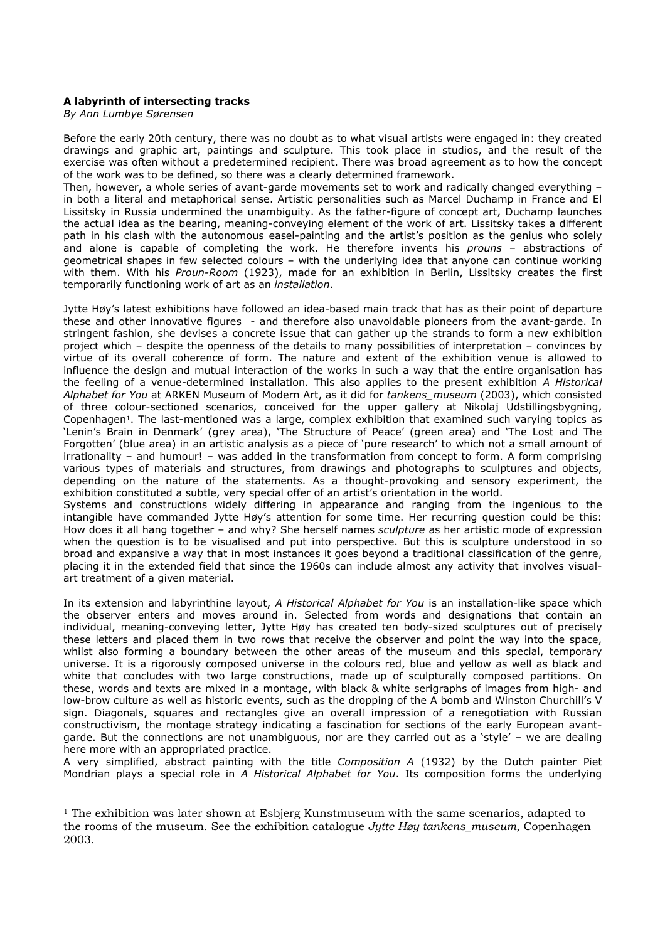## **A labyrinth of intersecting tracks**

*By Ann Lumbye Sørensen*

 $\overline{a}$ 

Before the early 20th century, there was no doubt as to what visual artists were engaged in: they created drawings and graphic art, paintings and sculpture. This took place in studios, and the result of the exercise was often without a predetermined recipient. There was broad agreement as to how the concept of the work was to be defined, so there was a clearly determined framework.

Then, however, a whole series of avant-garde movements set to work and radically changed everything in both a literal and metaphorical sense. Artistic personalities such as Marcel Duchamp in France and El Lissitsky in Russia undermined the unambiguity. As the father-figure of concept art, Duchamp launches the actual idea as the bearing, meaning-conveying element of the work of art. Lissitsky takes a different path in his clash with the autonomous easel-painting and the artist's position as the genius who solely and alone is capable of completing the work. He therefore invents his *prouns* – abstractions of geometrical shapes in few selected colours – with the underlying idea that anyone can continue working with them. With his *Proun-Room* (1923), made for an exhibition in Berlin, Lissitsky creates the first temporarily functioning work of art as an *installation*.

Jytte Høy's latest exhibitions have followed an idea-based main track that has as their point of departure these and other innovative figures - and therefore also unavoidable pioneers from the avant-garde. In stringent fashion, she devises a concrete issue that can gather up the strands to form a new exhibition project which – despite the openness of the details to many possibilities of interpretation – convinces by virtue of its overall coherence of form. The nature and extent of the exhibition venue is allowed to influence the design and mutual interaction of the works in such a way that the entire organisation has the feeling of a venue-determined installation. This also applies to the present exhibition *A Historical Alphabet for You* at ARKEN Museum of Modern Art, as it did for *tankens\_museum* (2003), which consisted of three colour-sectioned scenarios, conceived for the upper gallery at Nikolaj Udstillingsbygning, Copenhagen<sup>1</sup>. The last-mentioned was a large, complex exhibition that examined such varying topics as 'Lenin's Brain in Denmark' (grey area), 'The Structure of Peace' (green area) and 'The Lost and The Forgotten' (blue area) in an artistic analysis as a piece of 'pure research' to which not a small amount of irrationality – and humour! – was added in the transformation from concept to form. A form comprising various types of materials and structures, from drawings and photographs to sculptures and objects, depending on the nature of the statements. As a thought-provoking and sensory experiment, the exhibition constituted a subtle, very special offer of an artist's orientation in the world.

Systems and constructions widely differing in appearance and ranging from the ingenious to the intangible have commanded Jytte Høy's attention for some time. Her recurring question could be this: How does it all hang together – and why? She herself names *sculpture* as her artistic mode of expression when the question is to be visualised and put into perspective. But this is sculpture understood in so broad and expansive a way that in most instances it goes beyond a traditional classification of the genre, placing it in the extended field that since the 1960s can include almost any activity that involves visualart treatment of a given material.

In its extension and labyrinthine layout, *A Historical Alphabet for You* is an installation-like space which the observer enters and moves around in. Selected from words and designations that contain an individual, meaning-conveying letter, Jytte Høy has created ten body-sized sculptures out of precisely these letters and placed them in two rows that receive the observer and point the way into the space, whilst also forming a boundary between the other areas of the museum and this special, temporary universe. It is a rigorously composed universe in the colours red, blue and yellow as well as black and white that concludes with two large constructions, made up of sculpturally composed partitions. On these, words and texts are mixed in a montage, with black & white serigraphs of images from high- and low-brow culture as well as historic events, such as the dropping of the A bomb and Winston Churchill's V sign. Diagonals, squares and rectangles give an overall impression of a renegotiation with Russian constructivism, the montage strategy indicating a fascination for sections of the early European avantgarde. But the connections are not unambiguous, nor are they carried out as a 'style' – we are dealing here more with an appropriated practice.

A very simplified, abstract painting with the title *Composition A* (1932) by the Dutch painter Piet Mondrian plays a special role in *A Historical Alphabet for You*. Its composition forms the underlying

 $1$  The exhibition was later shown at Esbjerg Kunstmuseum with the same scenarios, adapted to the rooms of the museum. See the exhibition catalogue *Jytte Høy tankens\_museum*, Copenhagen 2003.